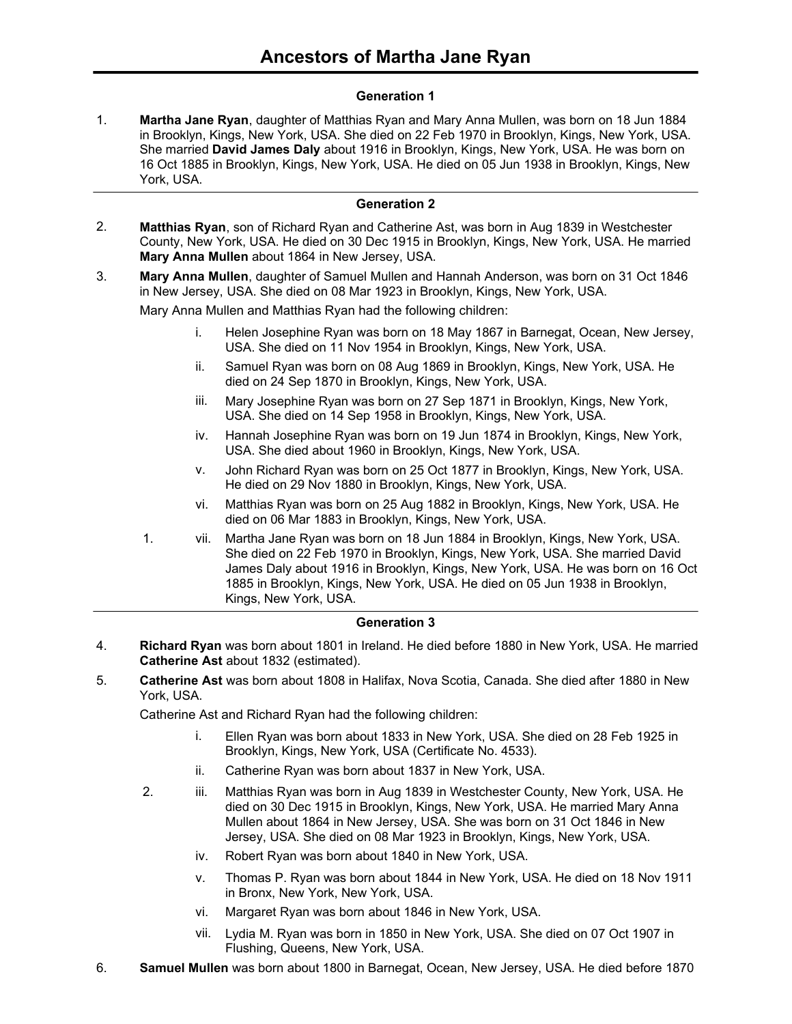## **Generation 1**

**Martha Jane Ryan**, daughter of Matthias Ryan and Mary Anna Mullen, was born on 18 Jun 1884 in Brooklyn, Kings, New York, USA. She died on 22 Feb 1970 in Brooklyn, Kings, New York, USA. She married **David James Daly** about 1916 in Brooklyn, Kings, New York, USA. He was born on 16 Oct 1885 in Brooklyn, Kings, New York, USA. He died on 05 Jun 1938 in Brooklyn, Kings, New York, USA. 1.

## **Generation 2**

- **Matthias Ryan**, son of Richard Ryan and Catherine Ast, was born in Aug 1839 in Westchester County, New York, USA. He died on 30 Dec 1915 in Brooklyn, Kings, New York, USA. He married **Mary Anna Mullen** about 1864 in New Jersey, USA. 2.
- **Mary Anna Mullen**, daughter of Samuel Mullen and Hannah Anderson, was born on 31 Oct 1846 in New Jersey, USA. She died on 08 Mar 1923 in Brooklyn, Kings, New York, USA. 3.

Mary Anna Mullen and Matthias Ryan had the following children:

- i. Helen Josephine Ryan was born on 18 May 1867 in Barnegat, Ocean, New Jersey, USA. She died on 11 Nov 1954 in Brooklyn, Kings, New York, USA.
- ii. Samuel Ryan was born on 08 Aug 1869 in Brooklyn, Kings, New York, USA. He died on 24 Sep 1870 in Brooklyn, Kings, New York, USA.
- iii. Mary Josephine Ryan was born on 27 Sep 1871 in Brooklyn, Kings, New York, USA. She died on 14 Sep 1958 in Brooklyn, Kings, New York, USA.
- iv. Hannah Josephine Ryan was born on 19 Jun 1874 in Brooklyn, Kings, New York, USA. She died about 1960 in Brooklyn, Kings, New York, USA.
- v. John Richard Ryan was born on 25 Oct 1877 in Brooklyn, Kings, New York, USA. He died on 29 Nov 1880 in Brooklyn, Kings, New York, USA.
- vi. Matthias Ryan was born on 25 Aug 1882 in Brooklyn, Kings, New York, USA. He died on 06 Mar 1883 in Brooklyn, Kings, New York, USA.
- 1. vii. Martha Jane Ryan was born on 18 Jun 1884 in Brooklyn, Kings, New York, USA. She died on 22 Feb 1970 in Brooklyn, Kings, New York, USA. She married David James Daly about 1916 in Brooklyn, Kings, New York, USA. He was born on 16 Oct 1885 in Brooklyn, Kings, New York, USA. He died on 05 Jun 1938 in Brooklyn, Kings, New York, USA.

## **Generation 3**

- **Richard Ryan** was born about 1801 in Ireland. He died before 1880 in New York, USA. He married **Catherine Ast** about 1832 (estimated). 4.
- **Catherine Ast** was born about 1808 in Halifax, Nova Scotia, Canada. She died after 1880 in New York, USA. 5.

Catherine Ast and Richard Ryan had the following children:

- i. Ellen Ryan was born about 1833 in New York, USA. She died on 28 Feb 1925 in Brooklyn, Kings, New York, USA (Certificate No. 4533).
- ii. Catherine Ryan was born about 1837 in New York, USA.
- 2. iii. Matthias Ryan was born in Aug 1839 in Westchester County, New York, USA. He died on 30 Dec 1915 in Brooklyn, Kings, New York, USA. He married Mary Anna Mullen about 1864 in New Jersey, USA. She was born on 31 Oct 1846 in New Jersey, USA. She died on 08 Mar 1923 in Brooklyn, Kings, New York, USA.
	- iv. Robert Ryan was born about 1840 in New York, USA.
	- v. Thomas P. Ryan was born about 1844 in New York, USA. He died on 18 Nov 1911 in Bronx, New York, New York, USA.
	- vi. Margaret Ryan was born about 1846 in New York, USA.
	- vii. Lydia M. Ryan was born in 1850 in New York, USA. She died on 07 Oct 1907 in Flushing, Queens, New York, USA.
- 6. **Samuel Mullen** was born about 1800 in Barnegat, Ocean, New Jersey, USA. He died before 1870